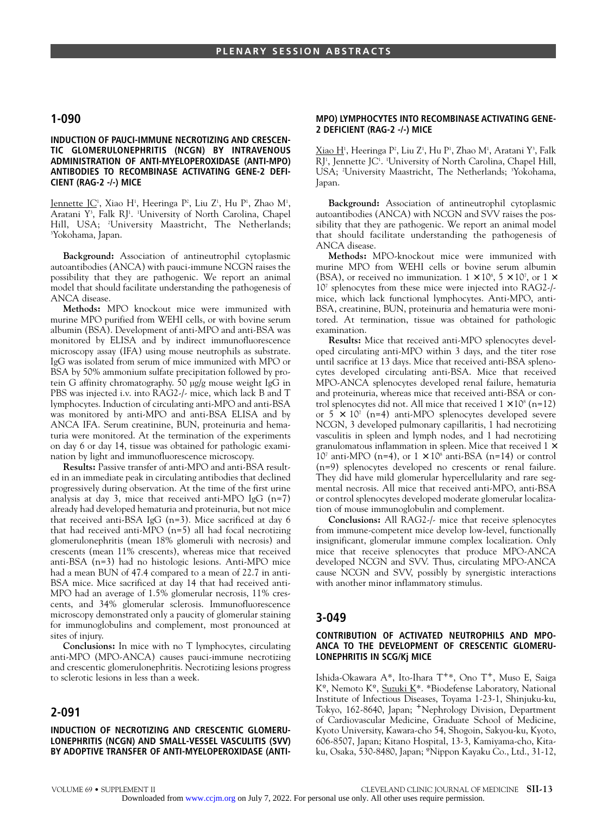# **1-090**

### **INDUCTION OF PAUCI-IMMUNE NECROTIZING AND CRESCEN-TIC GLOMERULONEPHRITIS (NCGN) BY INTRAVENOUS ADMINISTRATION OF ANTI-MYELOPEROXIDASE (ANTI-MPO) ANTIBODIES TO RECOMBINASE ACTIVATING GENE-2 DEFI-CIENT (RAG-2 -/-) MICE**

Jennette JC<sup>1</sup>, Xiao H<sup>1</sup>, Heeringa P<sup>2</sup>, Liu Z<sup>1</sup>, Hu P<sup>1</sup>, Zhao M<sup>1</sup>, Aratani Y<sup>3</sup>, Falk RJ<sup>1</sup>. <sup>1</sup>University of North Carolina, Chapel Hill, USA; 2 University Maastricht, The Netherlands; 3 Yokohama, Japan.

**Background:** Association of antineutrophil cytoplasmic autoantibodies (ANCA) with pauci-immune NCGN raises the possibility that they are pathogenic. We report an animal model that should facilitate understanding the pathogenesis of ANCA disease.

**Methods:** MPO knockout mice were immunized with murine MPO purified from WEHI cells, or with bovine serum albumin (BSA). Development of anti-MPO and anti-BSA was monitored by ELISA and by indirect immunofluorescence microscopy assay (IFA) using mouse neutrophils as substrate. IgG was isolated from serum of mice immunized with MPO or BSA by 50% ammonium sulfate precipitation followed by protein G affinity chromatography. 50 µg/g mouse weight IgG in PBS was injected i.v. into RAG2-/- mice, which lack B and T lymphocytes. Induction of circulating anti-MPO and anti-BSA was monitored by anti-MPO and anti-BSA ELISA and by ANCA IFA. Serum creatinine, BUN, proteinuria and hematuria were monitored. At the termination of the experiments on day 6 or day 14, tissue was obtained for pathologic examination by light and immunofluorescence microscopy.

**Results:** Passive transfer of anti-MPO and anti-BSA resulted in an immediate peak in circulating antibodies that declined progressively during observation. At the time of the first urine analysis at day 3, mice that received anti-MPO IgG (n=7) already had developed hematuria and proteinuria, but not mice that received anti-BSA IgG (n=3). Mice sacrificed at day 6 that had received anti-MPO (n=5) all had focal necrotizing glomerulonephritis (mean 18% glomeruli with necrosis) and crescents (mean 11% crescents), whereas mice that received anti-BSA (n=3) had no histologic lesions. Anti-MPO mice had a mean BUN of 47.4 compared to a mean of 22.7 in anti-BSA mice. Mice sacrificed at day 14 that had received anti-MPO had an average of 1.5% glomerular necrosis, 11% crescents, and 34% glomerular sclerosis. Immunofluorescence microscopy demonstrated only a paucity of glomerular staining for immunoglobulins and complement, most pronounced at sites of injury.

**Conclusions:** In mice with no T lymphocytes, circulating anti-MPO (MPO-ANCA) causes pauci-immune necrotizing and crescentic glomerulonephritis. Necrotizing lesions progress to sclerotic lesions in less than a week.

# **2-091**

### **INDUCTION OF NECROTIZING AND CRESCENTIC GLOMERU-LONEPHRITIS (NCGN) AND SMALL-VESSEL VASCULITIS (SVV) BY ADOPTIVE TRANSFER OF ANTI-MYELOPEROXIDASE (ANTI-**

#### **MPO) LYMPHOCYTES INTO RECOMBINASE ACTIVATING GENE-2 DEFICIENT (RAG-2 -/-) MICE**

<u>Xiao H</u><sup>1</sup>, Heeringa P², Liu Z<sup>1</sup>, Hu P½, Zhao M½, Aratani Y3, Falk RJ', Jennette JC'. 'University of North Carolina, Chapel Hill, USA; <sup>2</sup>University Maastricht, The Netherlands; <sup>3</sup>Yokohama, Japan.

**Background:** Association of antineutrophil cytoplasmic autoantibodies (ANCA) with NCGN and SVV raises the possibility that they are pathogenic. We report an animal model that should facilitate understanding the pathogenesis of ANCA disease.

**Methods:** MPO-knockout mice were immunized with murine MPO from WEHI cells or bovine serum albumin (BSA), or received no immunization.  $1 \times 10^8$ ,  $5 \times 10^7$ , or  $1 \times$ 107 splenocytes from these mice were injected into RAG2-/ mice, which lack functional lymphocytes. Anti-MPO, anti-BSA, creatinine, BUN, proteinuria and hematuria were monitored. At termination, tissue was obtained for pathologic examination.

**Results:** Mice that received anti-MPO splenocytes developed circulating anti-MPO within 3 days, and the titer rose until sacrifice at 13 days. Mice that received anti-BSA splenocytes developed circulating anti-BSA. Mice that received MPO-ANCA splenocytes developed renal failure, hematuria and proteinuria, whereas mice that received anti-BSA or control splenocytes did not. All mice that received  $1 \times 10^8$  (n=12) or  $5 \times 10^7$  (n=4) anti-MPO splenocytes developed severe NCGN, 3 developed pulmonary capillaritis, 1 had necrotizing vasculitis in spleen and lymph nodes, and 1 had necrotizing granulomatous inflammation in spleen. Mice that received  $1 \times$  $10^7$  anti-MPO (n=4), or  $1 \times 10^8$  anti-BSA (n=14) or control (n=9) splenocytes developed no crescents or renal failure. They did have mild glomerular hypercellularity and rare segmental necrosis. All mice that received anti-MPO, anti-BSA or control splenocytes developed moderate glomerular localization of mouse immunoglobulin and complement.

**Conclusions:** All RAG2-/- mice that receive splenocytes from immune-competent mice develop low-level, functionally insignificant, glomerular immune complex localization. Only mice that receive splenocytes that produce MPO-ANCA developed NCGN and SVV. Thus, circulating MPO-ANCA cause NCGN and SVV, possibly by synergistic interactions with another minor inflammatory stimulus.

### **3-049**

#### **CONTRIBUTION OF ACTIVATED NEUTROPHILS AND MPO-ANCA TO THE DEVELOPMENT OF CRESCENTIC GLOMERU-LONEPHRITIS IN SCG/Kj MICE**

Ishida-Okawara A\*, Ito-Ihara T+\*, Ono T+, Muso E, Saiga Kº, Nemoto Kº, Suzuki K\*. \*Biodefense Laboratory, National Institute of Infectious Diseases, Toyama 1-23-1, Shinjuku-ku, Tokyo, 162-8640, Japan; <sup>+</sup>Nephrology Division, Department of Cardiovascular Medicine, Graduate School of Medicine, Kyoto University, Kawara-cho 54, Shogoin, Sakyou-ku, Kyoto, 606-8507, Japan; Kitano Hospital, 13-3, Kamiyama-cho, Kitaku, Osaka, 530-8480, Japan; ºNippon Kayaku Co., Ltd., 31-12,